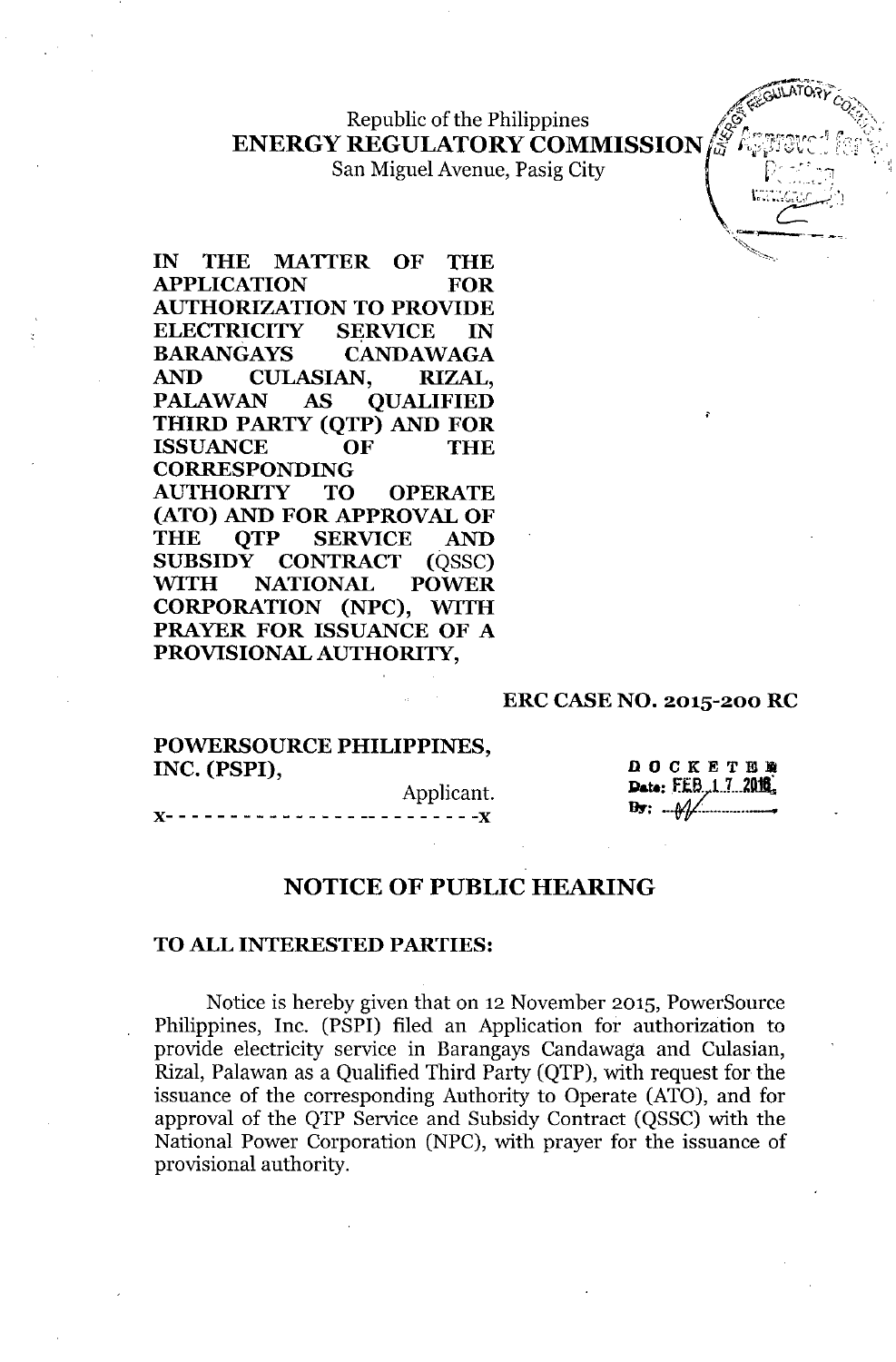Republic of the Philippines **ENERGY REGULATORY COMMISSION** 

San Miguel Avenue, Pasig City

~~~-' **IN THE MATTER OF THE APPLICATION FOR AUTHORIZATION TO PROVIDE ELECTRICITY SERVICE IN BARANGAYS CANDAWAGA AND CULASIAN, RIZAL, PALAWAN AS QUALIFIED THIRD PARTY (QTP) AND FOR ISSUANCE OF THE CORRESPONDING AUTHORITY TO OPERATE (ATO) AND FOR APPROVAL OF THE QTP SERVICE AND SUBSIDY CONTRACT** (QSSC) **WITH NATIONAL POWER CORPORATION (NPC), WITH PRAYER FOR ISSUANCE OF A PROVISIONAL AUTHORITY,**

#### **ERC CASE NO. 2015-200 RC**

**POWERSOURCE PHILIPPINES, INC. (PSPI),**

Applicant. **)(- - - - - - - -** - - - - - - **- -- - - - - - - - -)(**

**DOCKETHE** Date: FEB 17 2016  $B_{\overline{3}}$ :  $\mathcal{A}$ 

*<u>PORTORY</u>* 

 $\big\{$  I. In the set of  $\mathbb{R}^n$ 

".,,--:---....-----, **-..,**

~~~~

#### **NOTICE OF PUBLIC HEARING**

#### **TOALL INTERESTED PARTIES:**

Notice is hereby given that on 12 November 2015, PowerSource Philippines, Inc. (PSPI) filed an Application for authorization to provide electricity service in Barangays Candawaga and Culasian, Rizal, Palawan as a Qualified Third Party (QTP), with request for the issuance of the corresponding Authority to Operate (ATO), and for approval of the QTP Service and Subsidy Contract (QSSC) with the National Power Corporation (NPC), with prayer for the issuance of provisional authority.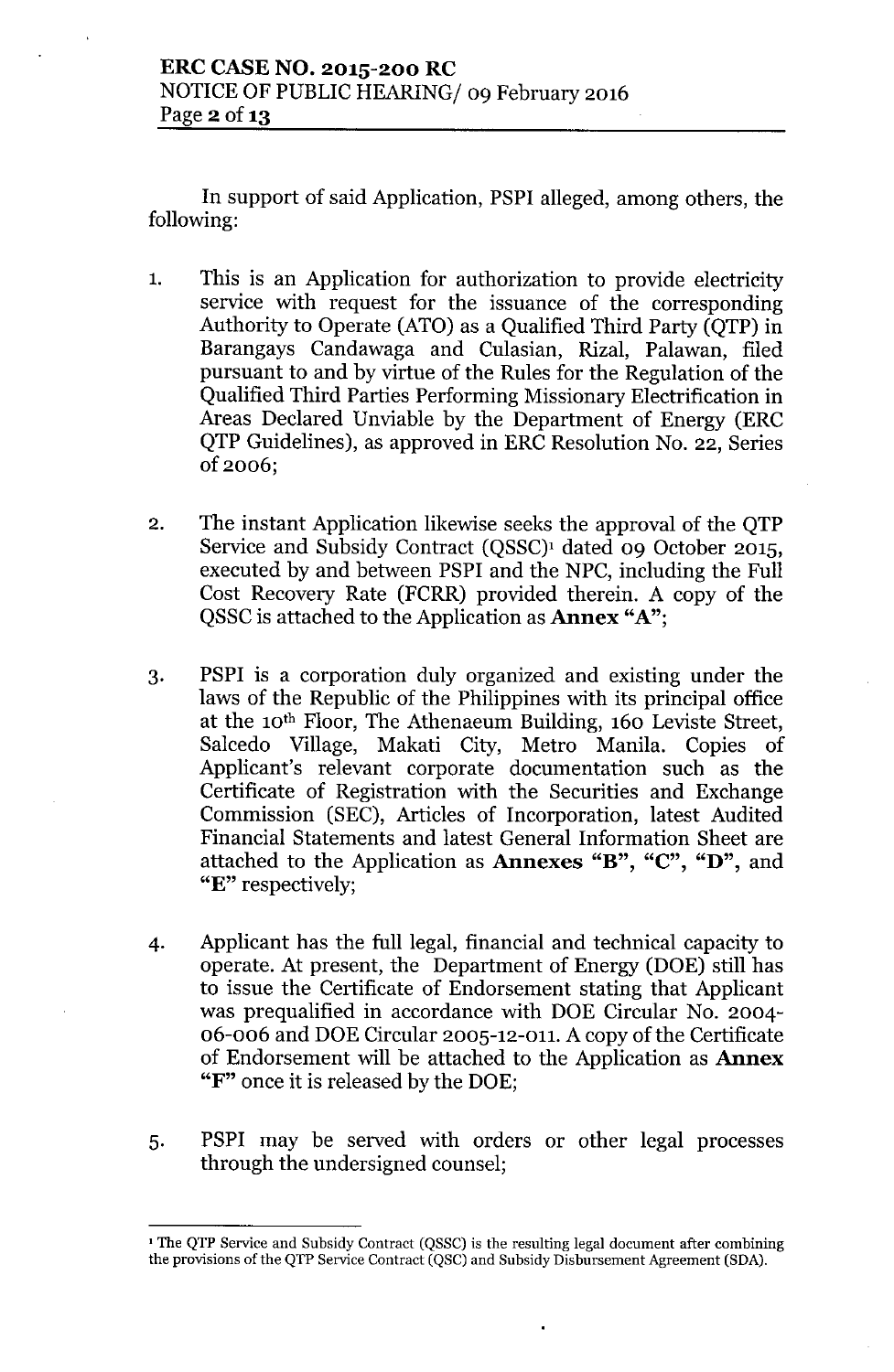In support of said Application, PSPI alleged, among others, the following:

- 1. This is an Application for authorization to provide electricity service with request for the issuance of the corresponding Authority to Operate (ATO) as a Qualified Third Party (QTP) in Barangays Candawaga and Culasian, Rizal, Palawan, filed pursuant to and by virtue of the Rules for the Regulation of the Qualified Third Parties Performing Missionary Electrification in Areas Declared Unviable by the Department of Energy (ERC QTP Guidelines), as approved in ERC Resolution No. 22, Series of 2006;
- 2. The instant Application likewise seeks the approval of the QTP Service and Subsidy Contract (QSSC)<sup>1</sup> dated 09 October 2015, executed by and between PSPI and the NPC, including the Full Cost Recovery Rate (FCRR) provided therein. A copy of the QSSC is attached to the Application as **Annex**  $A$ ";
- 3. PSPI is a corporation duly organized and existing under the laws of the Republic of the Philippines with its principal office at the 10th Floor, The Athenaeum Building, 160 Leviste Street, Salcedo Village, Makati City, Metro Manila. Copies of Applicant's relevant corporate documentation such as the Certificate of Registration with the Securities and Exchange Commission (SEC), Articles of Incorporation, latest Audited Financial Statements and latest General Information Sheet are attached to the Application as Annexes "B", "C", "D", and "E" respectively;
- 4. Applicant has the full legal, financial and technical capacity to operate. At present, the Department of Energy (DOE) still has to issue the Certificate of Endorsement stating that Applicant was prequalified in accordance with DOE Circular No. 2004- 06-006 and DOE Circular 2005-12-011. A copy of the Certificate of Endorsement will be attached to the Application as Annex "F" once it is released by the DOE;
- 5. PSPI may be served with orders or other legal processes through the undersigned counsel;

<sup>&</sup>lt;sup>1</sup> The QTP Service and Subsidy Contract (QSSC) is the resulting legal document after combining the provisions of the QTP Service Contract (QSC) and Subsidy Disbursement Agreement (SDA).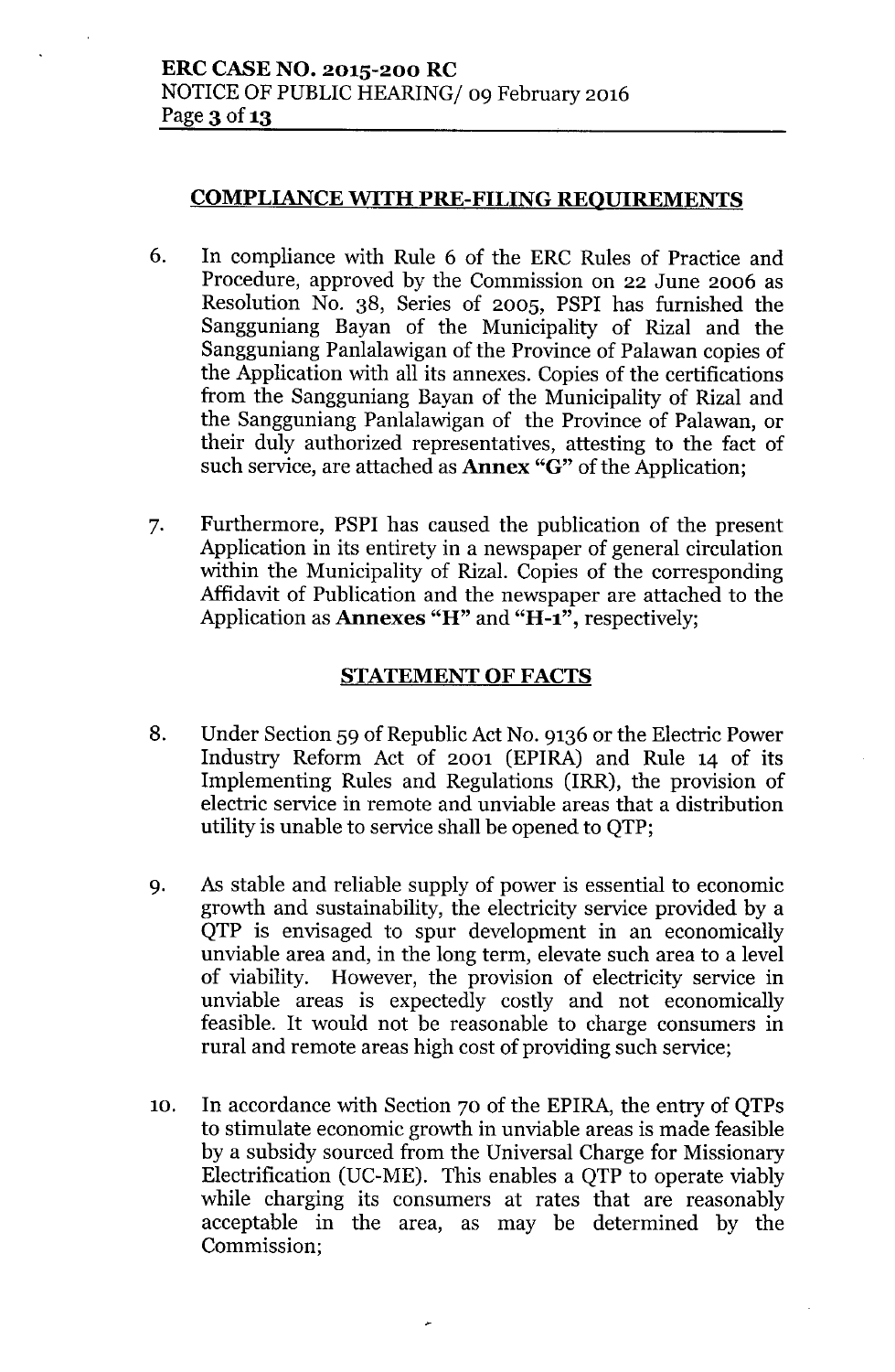## COMPLIANCE WITH PRE-FILING REQUIREMENTS

- 6. In compliance with Rule 6 of the ERC Rules of Practice and Procedure, approved by the Commission on 22 June 2006 as Resolution No. 38, Series of 2005, PSPI has furnished the Sangguniang Bayan of the Municipality of Rizal and the Sangguniang Panlalawigan of the Province of Palawan copies of the Application with all its annexes. Copies of the certifications from the Sangguniang Bayan of the Municipality of Rizal and the Sangguniang Panlalawigan of the Province of Palawan, or their duly authorized representatives, attesting to the fact of such service, are attached as **Annex** "G" of the Application;
- 7. Furthermore, PSPI has caused the publication of the present Application in its entirety in a newspaper of general circulation within the Municipality of Rizal. Copies of the corresponding Affidavit of Publication and the newspaper are attached to the Application as **Annexes** " $H$ " and " $H$ -1", respectively;

# STATEMENT OF FACTS

- 8. Under Section 59 of Republic Act No. 9136 or the Electric Power Industry Reform Act of 2001 (EPIRA) and Rule 14 of its Implementing Rules and Regulations (IRR), the provision of electric service in remote and unviable areas that a distribution utility is unable to service shall be opened to QTP;
- 9. As stable and reliable supply of power is essential to economic growth and sustainability, the electricity service provided by a QTP is envisaged to spur development in an economically unviable area and, in the long term, elevate such area to a level of viability. However, the provision of electricity service in unviable areas is expectedly costly and not economically feasible. It would not be reasonable to charge consumers in rural and remote areas high cost of providing such service;
- 10. In accordance with Section 70 of the EPIRA, the entry of QTPs to stimulate economic growth in unviable areas is made feasible by a subsidy sourced from the Universal Charge for Missionary Electrification (UC-ME). This enables a QTP to operate viably while charging its consumers at rates that are reasonably acceptable in the area, as may be determined by the Commission;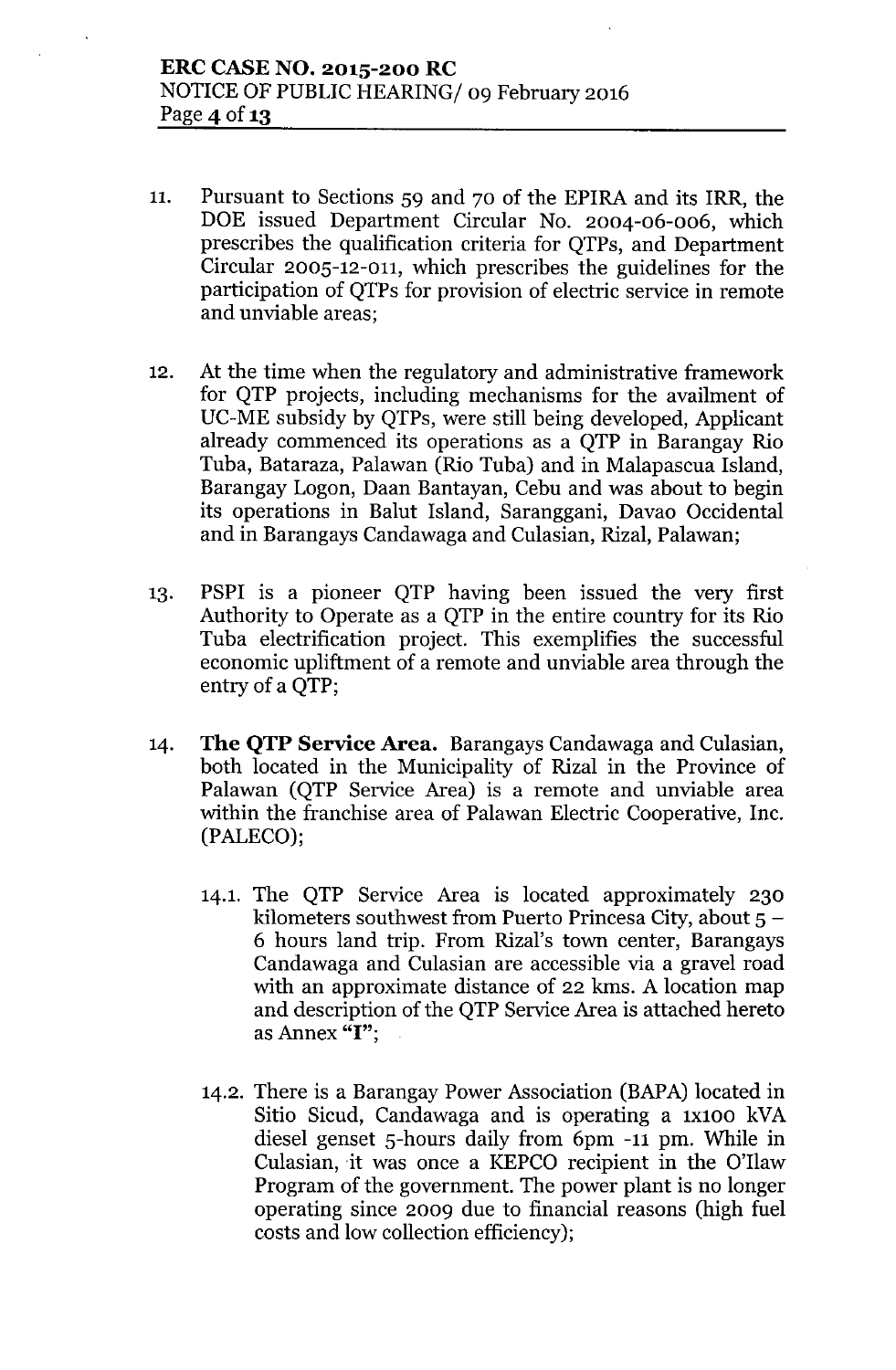- 11. Pursuant to Sections 59 and 70 of the EPIRA and its IRR, the DOE issued Department Circular No. 2004-06-006, which prescribes the qualification criteria for QTPs, and Department Circular 2005-12-011, which prescribes the guidelines for the participation of QTPs for provision of electric service in remote and unviable areas;
- 12. At the time when the regulatory and administrative framework for QTP projects, including mechanisms for the availment of UC-ME subsidy by QTPs, were still being developed, Applicant already commenced its operations as a QTP in Barangay Rio Tuba, Bataraza, Palawan (Rio Tuba) and in Malapascua Island, Barangay Logon, Daan Bantayan, Cebu and was about to begin its operations in Balut Island, Saranggani, Davao Occidental and in Barangays Candawaga and Culasian, Rizal, Palawan;
- 13. PSPI is a pioneer QTP having been issued the very first Authority to Operate as a QTP in the entire country for its Rio Tuba electrification project. This exemplifies the successful economic upliftment of a remote and unviable area through the entry of a QTP;
- 14. **The QTP Service Area.** Barangays Candawaga and Culasian, both located in the Municipality of Rizal in the Province of Palawan (QTP Service Area) is a remote and unviable area within the franchise area of Palawan Electric Cooperative, Inc. (PALECO);
	- 14.1. The QTP Service Area is located approximately 230 kilometers southwest from Puerto Princesa City, about  $5 -$ 6 hours land trip. From Rizal's town center, Barangays Candawaga and Culasian are accessible via a gravel road with an approximate distance of 22 kms. A location map and description of the QTP Service Area is attached hereto as Annex "I";
	- 14.2. There is a Barangay Power Association (BAPA) located in Sitio Sicud, Candawaga and is operating a 1x100 kVA diesel genset 5-hours daily from 6pm -11 pm. While in Culasian, it was once a KEPCO recipient in the O'llaw Program of the government. The power plant is no longer operating since 2009 due to financial reasons (high fuel costs and low collection efficiency);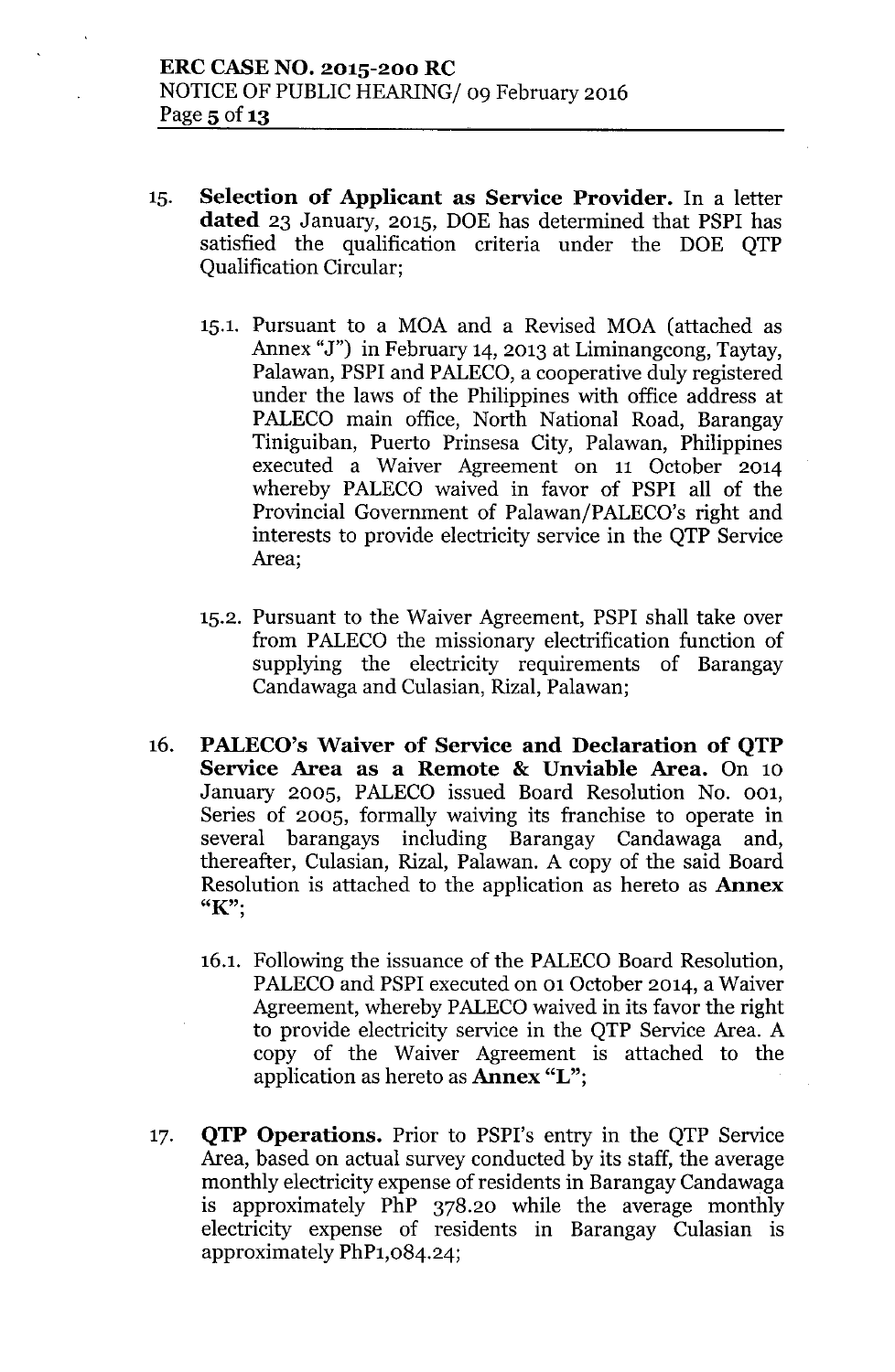- 15. **Selection of Applicant as Service Provider.** In a letter **dated** 23 January, 2015, DOE has determined that PSPI has satisfied the qualification criteria under the DOE QTP Qualification Circular;
	- 15.1. Pursuant to a MOA and a Revised MOA (attached as Annex "J") in February 14, 2013 at Liminangcong, Taytay, Palawan, PSPI and PALECO, a cooperative duly registered under the laws of the Philippines with office address at PALECO main office, North National Road, Barangay Tiniguiban, Puerto Prinsesa City, Palawan, Philippines executed a Waiver Agreement on 11 October 2014 whereby PALECO waived in favor of PSPI all of the Provincial Government of Palawan/PALECO's right and interests to provide electricity service in the QTP Service Area;
	- 15.2. Pursuant to the Waiver Agreement, PSPI shall take over from PALECO the missionary electrification function of supplying the electricity requirements of Barangay Candawaga and Culasian, Rizal, Palawan;
- 16. **PALECO's Waiver of Service and Declaration of QTP Service Area as a Remote & Unviable Area.** On 10 January 2005, PALECO issued Board Resolution No. 001, Series of 2005, formally waiving its franchise to operate in several barangays including Barangay Candawaga and, thereafter, Culasian, Rizal, Palawan. A copy of the said Board Resolution is attached to the application as hereto as **Annex** *"K'"*,
	- 16.1. Following the issuance of the PALECO Board Resolution, PALECO and PSPI executed on 01 October 2014, a Waiver Agreement, whereby PALECOwaived in its favor the right to provide electricity service in the QTP Service Area. A copy of the Waiver Agreement is attached to the application as hereto as **Annex** "L";
- 17. **QTP Operations.** Prior to PSPI's entry in the QTP Service Area, based on actual survey conducted by its staff, the average monthly electricity expense of residents in Barangay Candawaga is approximately PhP 378.20 while the average monthly electricity expense of residents in Barangay Culasian is approximately PhP1,084.24;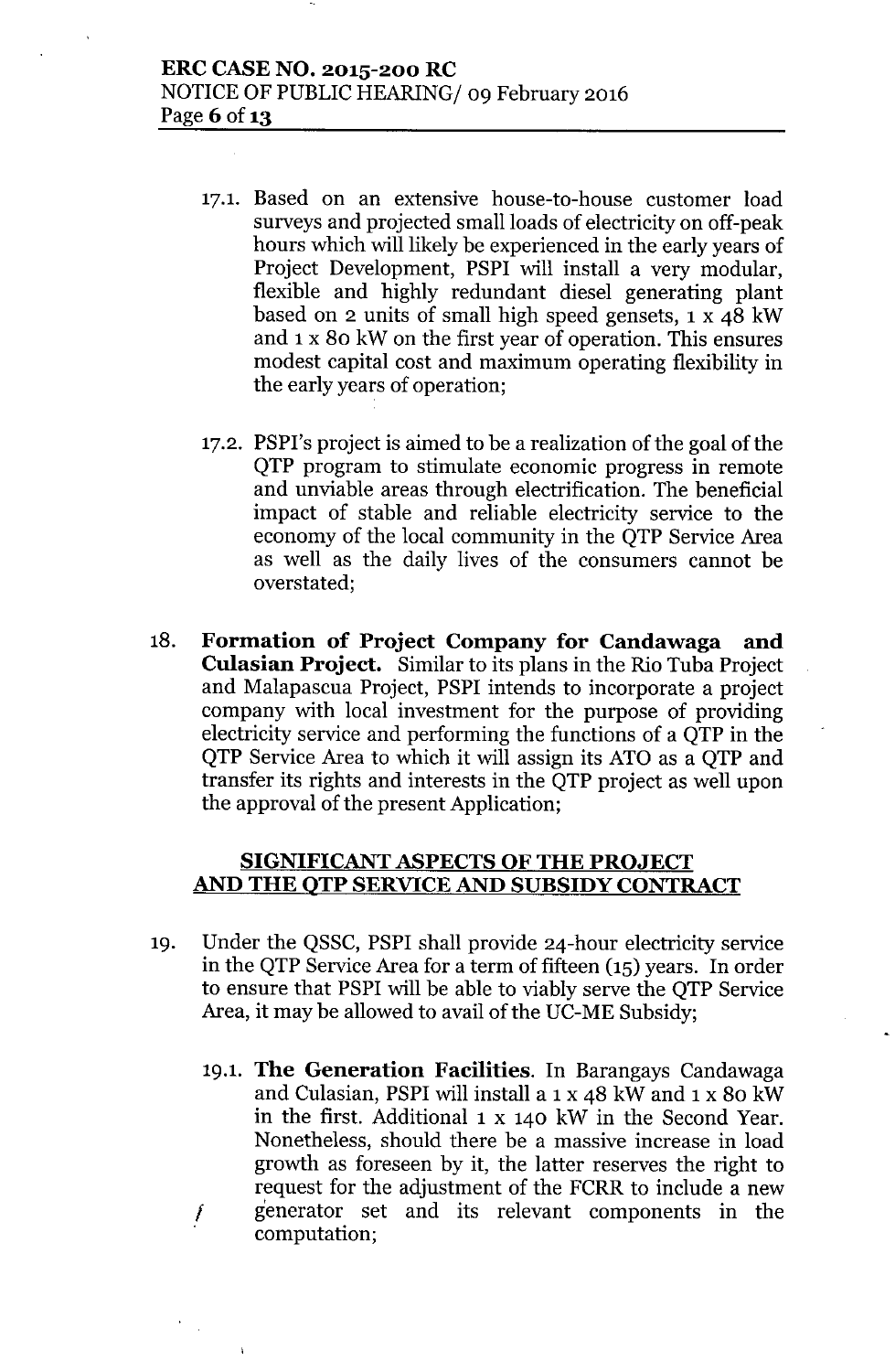- 17.1. Based on an extensive house-to-house customer load surveys and projected small loads of electricity on off-peak hours which will likely be experienced in the early years of Project Development, PSPI will install a very modular, flexible and highly redundant diesel generating plant based on 2 units of small high speed gensets, 1 x 48 kW and 1 x 80 kW on the first year of operation. This ensures modest capital cost and maximum operating flexibility in the early years of operation;
- 17.2. PSPI's project is aimed to be a realization of the goal of the QTP program to stimulate economic progress in remote and unviable areas through electrification. The beneficial impact of stable and reliable electricity service to the economy of the local community in the QTP Service Area as well as the daily lives of the consumers cannot be overstated;
- 18. **Formation of Project Company for Candawaga and Culasian Project.** Similar to its plans in the Rio Tuba Project and Malapascua Project, PSPI intends to incorporate a project company with local investment for the purpose of providing electricity service and performing the functions of a QTP in the QTP Service Area to which it will assign its ATO as a QTP and transfer its rights and interests in the QTP project as well upon the approval of the present Application;

### **SIGNIFICANT ASPECTS OF THE PROJECT AND THE QTP SERVICE AND SUBSIDY CONTRACT**

- 19. Under the QSSC, PSPI shall provide 24-hour electricity service in the QTP Service Area for a term of fifteen (15) years. In order to ensure that PSPI will be able to viably serve the QTP Service Area, it may be allowed to avail of the UC-ME Subsidy;
	- 19.1. The Generation Facilities. In Barangays Candawaga *f* and Culasian, PSPI will install a 1 x 48 kW and 1 x 80 kW in the first. Additional 1 x 140 kW in the Second Year. Nonetheless, should there be a massive increase in load growth as foreseen by it, the latter reserves the right to request for the adjustment of the FCRR to include a new generator set and its relevant components in the computation;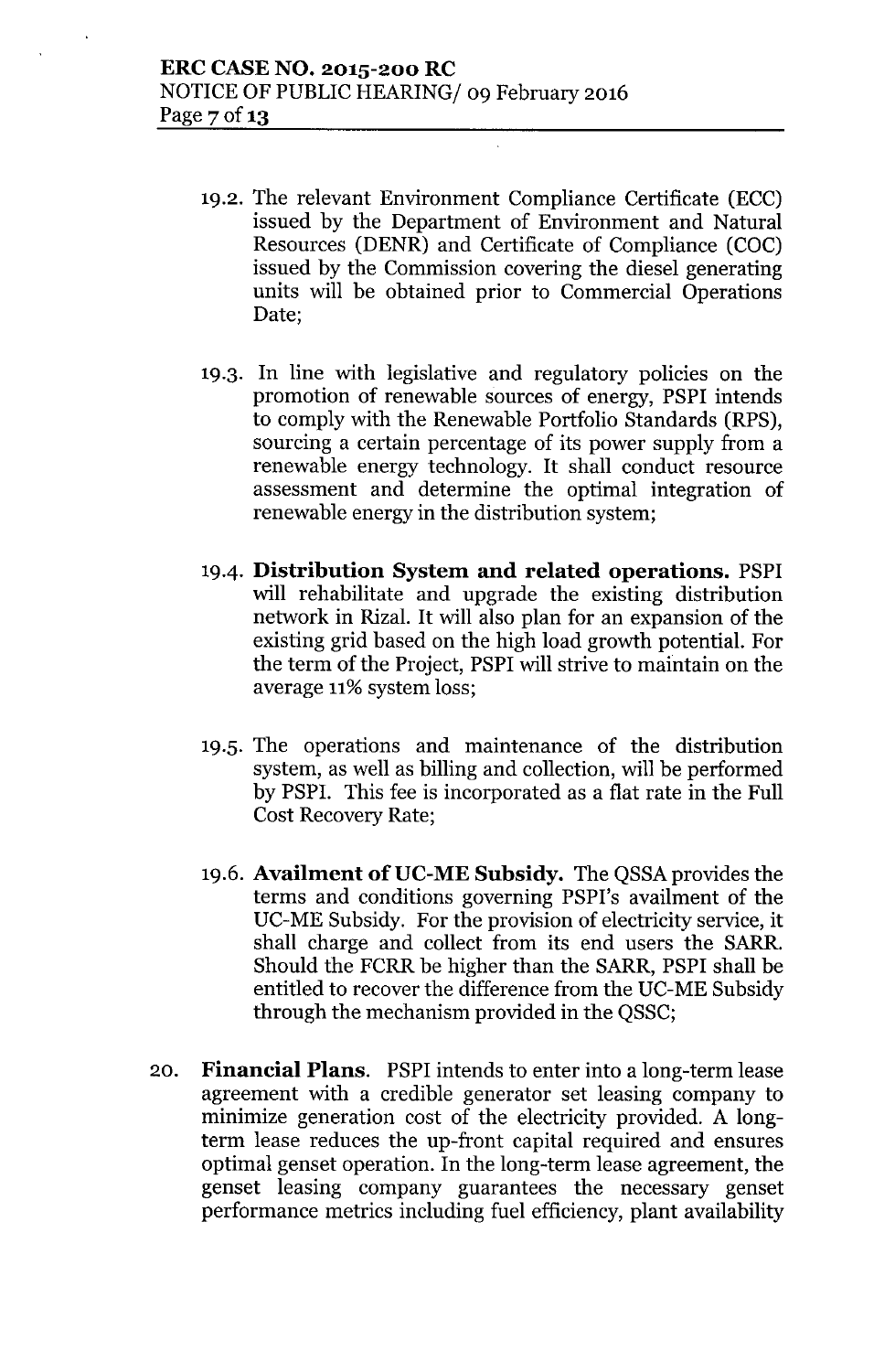- 19.2. The relevant Environment Compliance Certificate (ECC) issued by the Department of Environment and Natural Resources (DENR) and Certificate of Compliance (COC) issued by the Commission covering the diesel generating units will be obtained prior to Commercial Operations Date;
- 19.3. In line with legislative and regulatory policies on the promotion of renewable sources of energy, PSPI intends to comply with the Renewable Portfolio Standards (RPS), sourcing a certain percentage of its power supply from a renewable energy technology. It shall conduct resource assessment and determine the optimal integration of renewable energy in the distribution system;
- 19-4. **Distribution System and related operations.** PSPI will rehabilitate and upgrade the existing distribution network in Rizal. It will also plan for an expansion of the existing grid based on the high load growth potential. For the term of the Project, PSPI will strive to maintain on the average 11% system loss;
- 19.5. The operations and maintenance of the distribution system, as well as billing and collection, will be performed by PSPI. This fee is incorporated as a flat rate in the Full Cost Recovery Rate;
- 19.6. **Availment of UC-ME Subsidy.** The QSSA provides the terms and conditions governing PSPI's availment of the UC-ME Subsidy. For the provision of electricity service, it shall charge and collect from its end users the SARR. Should the FCRR be higher than the SARR, PSPI shall be entitled to recover the difference from the UC-ME Subsidy through the mechanism provided in the QSSC;
- 20. **Financial Plans.** PSPI intends to enter into a long-term lease agreement with a credible generator set leasing company to minimize generation cost of the electricity provided. A longterm lease reduces the up-front capital required and ensures optimal genset operation. In the long-term lease agreement, the genset leasing company guarantees the necessary genset performance metrics including fuel efficiency, plant availability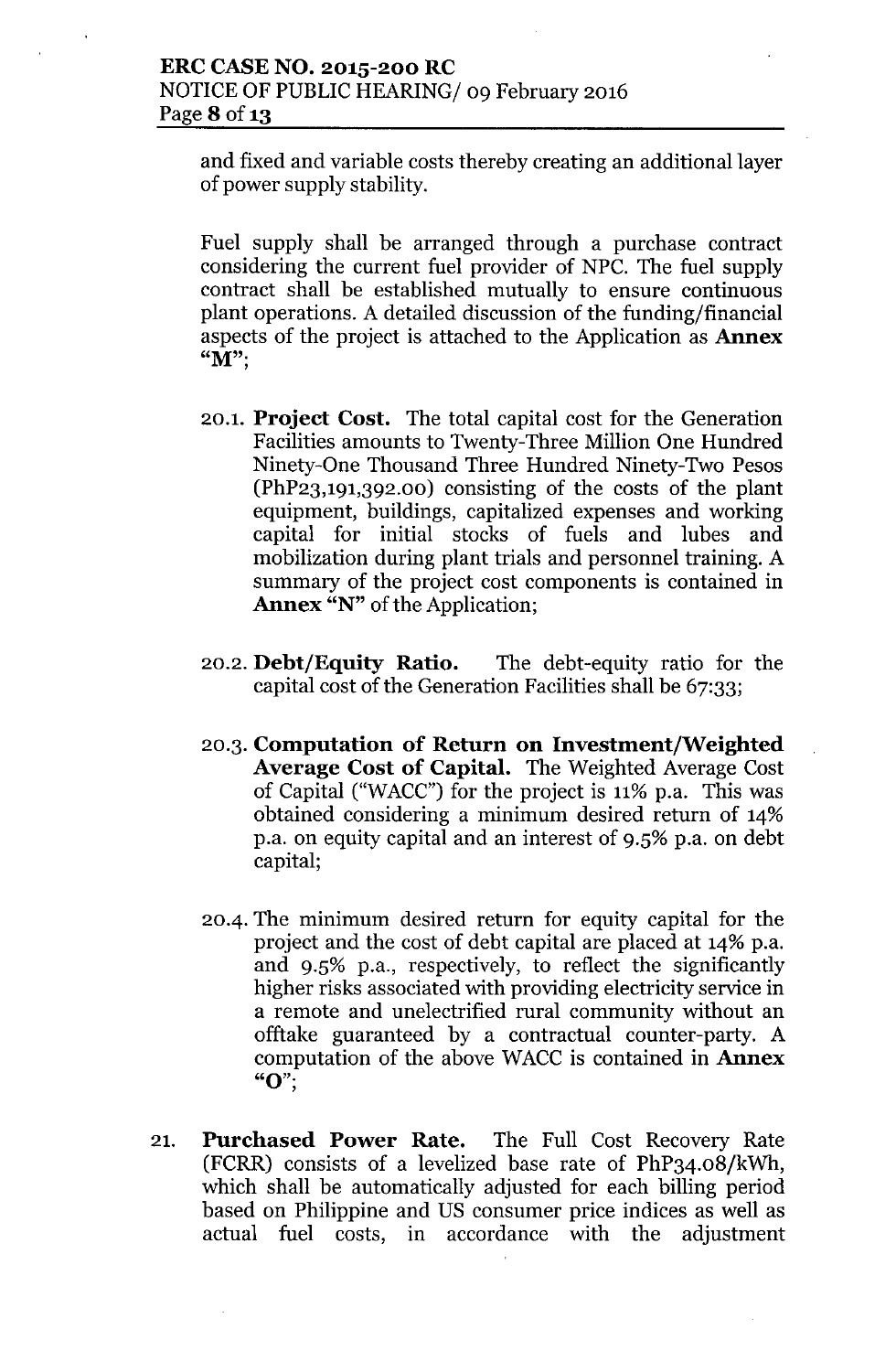#### **ERCCASENO. 2015-200 RC** NOTICE OF PUBLIC HEARING/ 09 February 2016 Page **8** of 13

and fixed and variable costs thereby creating an additional layer of power supply stability.

Fuel supply shall be arranged through a purchase contract considering the current fuel provider of NPC. The fuel supply contract shall be established mutually to ensure continuous plant operations. A detailed discussion of the funding/financial aspects of the project is attached to the Application as **Annex**  $\mathbf{M}$ ";

- 20.1. **Project Cost.** The total capital cost for the Generation Facilities amounts to Twenty-Three Million One Hundred Ninety-One Thousand Three Hundred Ninety-Two Pesos (PhP23,191,392.00) consisting of the costs of the plant equipment, buildings, capitalized expenses and working capital for initial stocks of fuels and lubes and mobilization during plant trials and personnel training. A summary of the project cost components is contained in **Annex** "N" of the Application;
- 20.2. **Debt/Equity Ratio.** The debt-equity ratio for the capital cost of the Generation Facilities shall be 67:33;
- 20.3. **Computation of Return on Investment/Weighted Average Cost of Capital.** The Weighted Average Cost of Capital ("WACC") for the project is  $11\%$  p.a. This was obtained considering a minimum desired return of 14% p.a. on equity capital and an interest of 9.5% p.a. on debt capital;
- *2004.* The minimum desired return for equity capital for the project and the cost of debt capital are placed at 14% p.a. and 9.5% p.a., respectively, to reflect the significantly higher risks associated with providing electricity service in a remote and unelectrified rural community without an offtake guaranteed by a contractual counter-party. A computation of the above WACCis contained in **Annex** " $O$ ";
- 21. **Purchased Power Rate.** The Full Cost Recovery Rate (FCRR) consists of a levelized base rate of PhP34.08/kWh, which shall be automatically adjusted for each billing period based on Philippine and US consumer price indices as well as actual fuel costs, in accordance with the adjustment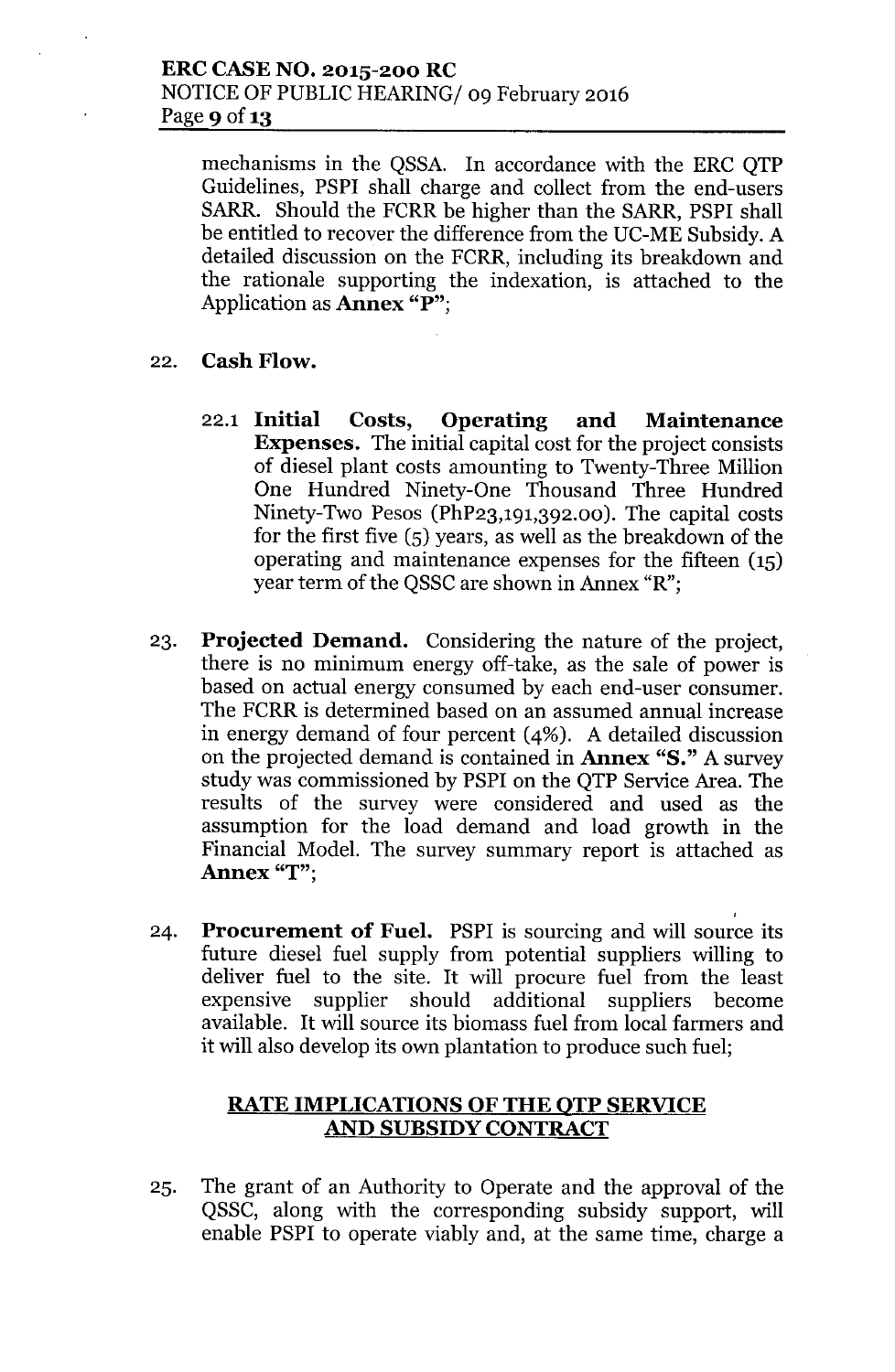mechanisms in the QSSA. In accordance with the ERC QTP Guidelines, PSPI shall charge and collect from the end-users SARR. Should the FCRR be higher than the SARR, PSPI shall be entitled to recover the difference from the UC-ME Subsidy. A detailed discussion on the FCRR, including its breakdown and the rationale supporting the indexation, is attached to the Application as **Annex** "P";

- 22. **Cash Flow.**
	- 22.1 **Initial Costs, Operating and Maintenance Expenses.** The initial capital cost for the project consists of diesel plant costs amounting to Twenty-Three Million One Hundred Ninety-One Thousand Three Hundred Ninety-Two Pesos (PhP23,191,392.00). The capital costs for the first five (5) years, as well as the breakdown of the operating and maintenance expenses for the fifteen (15) year term of the QSSC are shown in Annex "R";
- 23. **Projected Demand.** Considering the nature of the project, there is no minimum energy off-take, as the sale of power is based on actual energy consumed by each end-user consumer. The FCRR is determined based on an assumed annual increase in energy demand of four percent (4%). A detailed discussion on the projected demand is contained in **Annex** "S." A survey study was commissioned by PSPI on the QTP Service Area. The results of the survey were considered and used as the assumption for the load demand and load growth in the Financial Model. The survey summary report is attached as **Annex** "T";
- 24. **Procurement of Fuel.** PSPI is sourcing and will source its future diesel fuel supply from potential suppliers willing to deliver fuel to the site. It will procure fuel from the least expensive supplier should additional suppliers become available. It will source its biomass fuel from local farmers and it will also develop its own plantation to produce such fuel;

## **RATE IMPLICATIONS OFTHE QTP SERVICE AND SUBSIDY CONTRACT**

25. The grant of an Authority to Operate and the approval of the QSSC, along with the corresponding subsidy support, will enable PSPI to operate viably and, at the same time, charge a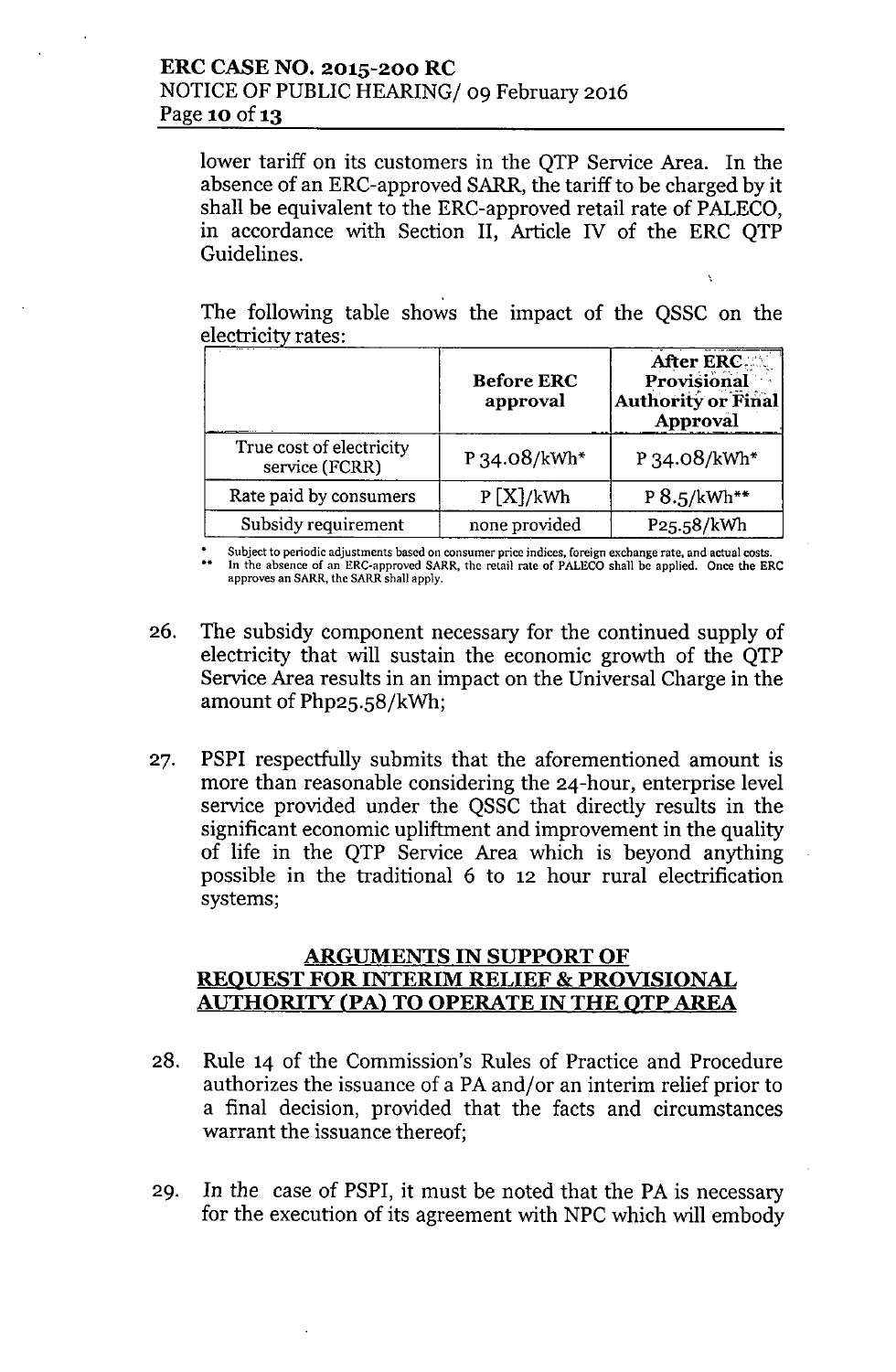lower tariff on its customers in the QTP Service Area. In the absence of an ERC-approved SARR, the tariff to be charged by it shall be equivalent to the ERC-approved retail rate of PALECO, in accordance with Section II, Article IV of the ERC QTP Guidelines.

The following table shows the impact of the QSSC on the electricity rates: - . \_ ...\_. ~

Ñ

|                                            | <b>Before ERC</b><br>approval | After ERC.<br>Provisional<br>Authority or Final<br><b>Approval</b> |
|--------------------------------------------|-------------------------------|--------------------------------------------------------------------|
| True cost of electricity<br>service (FCRR) | P 34.08/kWh*                  | $P_{34.08/kWh*}$                                                   |
| Rate paid by consumers                     | P[X]/kWh                      | $P 8.5/kWh**$                                                      |
| Subsidy requirement                        | none provided                 | P25.58/kWh                                                         |

\* Subject to periodic adjustments based on consumer price indices, foreign exchange rate, and actual costs. •• In the absence of an ERC-approved SARR, the retail rate of PALECO shall be applied. Once the ERC approves an SARR, the SARR shall apply.

- 26. The subsidy component necessary for the continued supply of electricity that will sustain the economic growth of the QTP Service Area results in an impact on the Universal Charge in the amount of Php25.58/kWh;
- 27. PSPI respectfully submits that the aforementioned amount is more than reasonable considering the 24-hour, enterprise level service provided under the QSSC that directly results in the significant economic upliftment and improvement in the quality of life in the QTP Service Area which is beyond anything possible in the traditional 6 to 12 hour rural electrification systems;

#### ARGUMENTS IN SUPPORT OF REQUEST FOR INTERIM RELIEF & PROVISIONAL AUTHORITY (PA) TO OPERATE IN THE OTP AREA

- 28. Rule 14 of the Commission's Rules of Practice and Procedure authorizes the issuance of a PA and/or an interim relief prior to a final decision, provided that the facts and circumstances warrant the issuance thereof;
- 29. In the case of PSPI, it must be noted that the PA is necessary for the execution of its agreement with NPC which will embody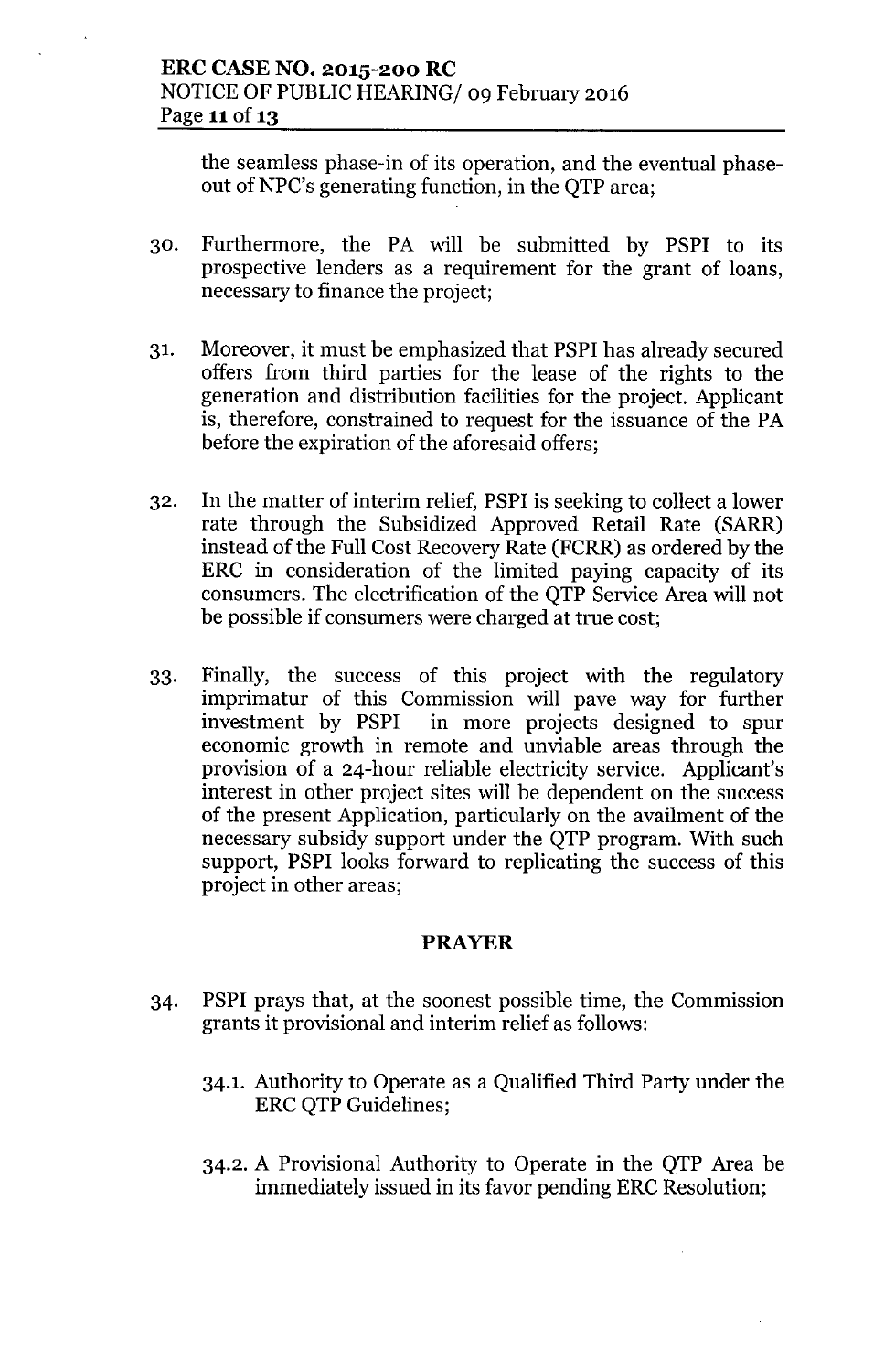the seamless phase-in of its operation, and the eventual phaseout of NPC's generating function, in the QTP area;

- 30. Furthermore, the PA will be submitted by PSPI to its prospective lenders as a requirement for the grant of loans, necessary to finance the project;
- 31. Moreover, it must be emphasized that PSPI has already secured offers from third parties for the lease of the rights to the generation and distribution facilities for the project. Applicant is, therefore, constrained to request for the issuance of the PA before the expiration of the aforesaid offers;
- 32. In the matter of interim relief, PSPI is seeking to collect a lower rate through the Subsidized Approved Retail Rate (SARR) instead of the Full Cost Recovery Rate (FCRR) as ordered by the ERC in consideration of the limited paying capacity of its consumers. The electrification of the QTP Service Area will not be possible if consumers were charged at true cost;
- 33. Finally, the success of this project with the regulatory imprimatur of this Commission will pave way for further investment by PSPI in more projects designed to spur economic growth in remote and unviable areas through the provision of a 24-hour reliable electricity service. Applicant's interest in other project sites will be dependent on the success of the present Application, particularly on the availment of the necessary subsidy support under the QTP program. With such support, PSPI looks forward to replicating the success of this project in other areas;

### **PRAYER**

- 34. PSPI prays that, at the soonest possible time, the Commission grants it provisional and interim relief as follows:
	- 34.1. Authority to Operate as a Qualified Third Party under the ERC QTP Guidelines;
	- 34.2. A Provisional Authority to Operate in the QTP Area be immediately issued in its favor pending ERC Resolution;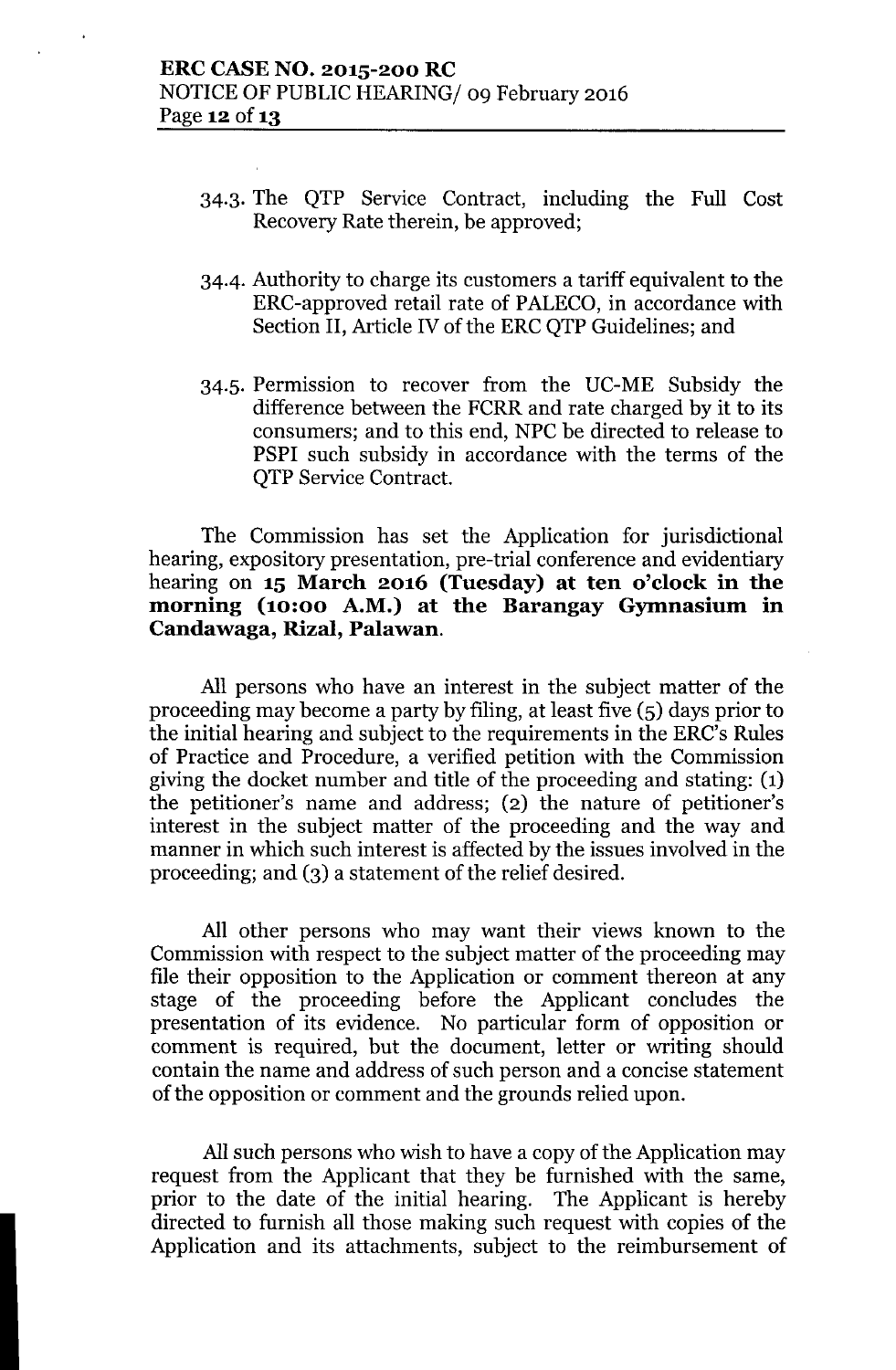- 34.3. The QTP Service Contract, including the Full Cost Recovery Rate therein, be approved;
- 34-4. Authority to charge its customers a tariff equivalent to the ERC-approved retail rate of PALECO, in accordance with Section II, Article IV of the ERC QTP Guidelines; and
- 34.5. Permission to recover from the UC-ME Subsidy the difference between the FCRR and rate charged by it to its consumers; and to this end, NPC be directed to release to PSPI such subsidy in accordance with the terms of the QTP Service Contract.

The Commission has set the Application for jurisdictional hearing, expository presentation, pre-trial conference and evidentiary hearing on 15 March 2016 (Tuesday) at ten o'clock in the morning (10:00 A.M.) at the Barangay Gymnasium in Candawaga, Rizal, Palawan.

All persons who have an interest in the subject matter of the proceeding may become a party by filing, at least five (5) days prior to the initial hearing and subject to the requirements in the ERC's Rules of Practice and Procedure, a verified petition with the Commission giving the docket number and title of the proceeding and stating: (1) the petitioner's name and address; (2) the nature of petitioner's interest in the subject matter of the proceeding and the way and manner in which such interest is affected by the issues involved in the proceeding; and (3) a statement of the relief desired.

All other persons who may want their views known to the Commission with respect to the subject matter of the proceeding may file their opposition to the Application or comment thereon at any stage of the proceeding before the Applicant concludes the presentation of its evidence. No particular form of opposition or comment is required, but the document, letter or writing should contain the name and address of such person and a concise statement of the opposition or comment and the grounds relied upon.

All such persons who wish to have a copy of the Application may request from the Applicant that they be furnished with the same, prior to the date of the initial hearing. The Applicant is hereby directed to furnish all those making such request with copies of the Application and its attachments, subject to the reimbursement of